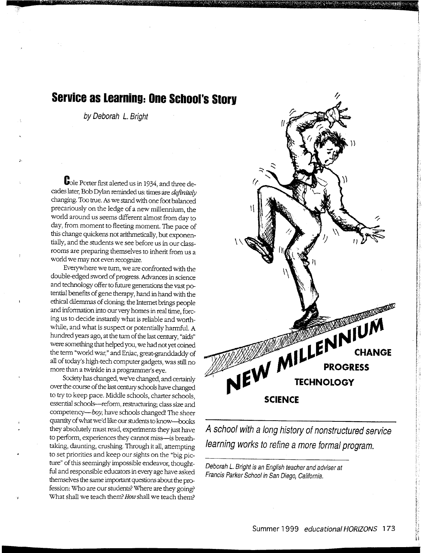## **Service as Learning: One School's Storv**

by Deborah L. Bright

**a** z m 'WWWW'W1'W'lmmmrt

**C**ole Porter first alerted us in 1934, and three decades later, Bob Dylan reminded us: times are *definitely*  changing. Too true. *A5* we stand with one foot balanced precariously on the ledge of a new millennium, the world around us seems different almost from day to day, from moment to fleeting moment. The pace of this change quickens not arithmetically, but exponentially, and the students we see before us in our classrooms are preparing themselves to inherit from us a world we may not even recognize.

Everywhere we tum, we are confronted with the double-edged sword of progress. Advances in science and technology offer to future generations the vast potential benefits of gene therapy, hand in hand with the ethical dilemmas of cloning; the Internet brings people and information into our very homes in real time, forcing us to decide instantly what is reliable and worthwhile, and what is suspect or potentially harmful. A hundred years ago, at the turn of the last century, "aids" were something that helped you, we had not yet coined the term "world war," and Eniac, great-granddaddy of all of today's high-tech computer gadgets, was still no more than a twinkle in a programmer's eye.

Society has changed, we've changed, and certainly over the course of the last century schools have changed to try to keep pace. Middle schools, charter schools, essential schools--reform, restructuring; class size and competency---boy, have schools changed! The sheer quantity of what we'd like our students to know----books they absolutely must read, experiments they just have to perform, experiences they cannot miss--is breathtaking, daunting, crushing. Through it all, attempting to set priorities and keep our sights on the "big picture" of this seemingly impossible endeavor, thoughtful and responsible educators in every age have asked themselves the same important questions about the profession: Who are our students? Where are they going? What shall we teach them? How shall we teach them?



.,

A school with a long history of nonstructured service learning works to refine a more formal program.

Deborah L. Bright is an English teacher and adviser at Francis Parker School in San Diego, California.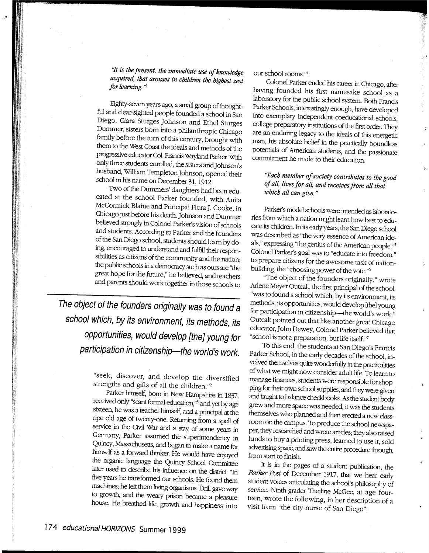*"It is the present, the immediate use of knowledge acquired, that arouses in children the highest zest for learning.* "<sup>1</sup>

Eighty-seven years ago, a small group of thoughtful and dear-sighted people founded a school in San Diego. Clara Sturges Johnson and Ethel Sturges Dummer, sisters born into a philanthropic Chicago family before the tum of this century, brought with them to the West Coast the ideals and methods of the progressive educator Col. Francis Wayland Parker. With only three students enrolled, the sisters and Johnson's husband, William Templeton Johnson, opened their school in his name on December 31, 1912.

Two of the Dummers' daughters had been educated at the school Parker founded, with Anita McCormick Blaine and Principal Flora]. Cooke, in Chicago just before his death. Johnson and Dummer believed strongly in Colonel Parker's vision of schools and students. According to Parker and the founders of the San Diego school, students should learn by doing, encouraged to understand and fulfill their responsibilities as citizens of the community and the nation; the public schools in a democracy such as ours are "the great hope for the future," he believed, and teachers and parents should work together in those schools to

**The object of the founders originally was to found <sup>a</sup> school which, by its environment, its methods, its opportunities, would develop [the] young for participation in citizenship-the world's work.** 

> "seek, discover, and develop the diversified strengths and gifts of all the children."<sup>2</sup>

Parker himself, born in New Hampshire in 1837, received only "scant formal education,"<sup>3</sup> and yet by age sixteen, he was a teacher himself, and a principal at the ripe old age of twenty-one. Returning from a spell of service in the Civil War and a stay of some years in Germany, Parker assumed the superintendency in Quincy, Massachusetts, and began to make a name for himself as a forward thinker. He would have enjoyed the organic language the Quincy School Committee later used to describe his influence on the district: "In five years he transformed our schools. He found them machines; he left them living organisms. Drill gave way to growth, and the weary prison became a pleasure house. He breathed life, growth and happiness into

our school rooms."<sup>4</sup>

Colonel Parker ended his career in Chicago, after having founded his first namesake school as a laboratory for the public school system. Both Francis Parker Schools, interestingly enough, have developed into exemplary independent coeducational schools, college preparatory institutions of the first order. They are an enduring legacy to the ideals of this energetic man, his absolute belief in the practically boundless potentials of American students, and the passionate commitment he made to their education.

## *"Each member of society contributes to the good of all, lives for all, and receives from all that which all can give.* "

Parker's model schools were intended as laboratories from which a nation might learn how best to educate its children. In its early years, the San Diego school was described as "the very essence of American ideals," expressing "the genius of the American people. "<sup>5</sup> Colonel Parker's goal was to "educate into freedom," to prepare citizens for the awesome task of nationbuilding, the "choosing power of the vote."<sup>6</sup>

"The object of the founders originally," wrote Arlene Meyer Outcalt, the first principal of the school, ''was to found a school which, by its environment, its methods, its opportunities, would develop [the] young for participation in citizenship-the world's work." Outcalt pointed out that like another great Chicago educator, John Dewey, Colonel Parker believed that "school is not a preparation, but life itself."<sup>7</sup>

To this end, the students at San Diego's Francis Parker School, in the early decades of the school, involved themselves quite wonderfully in the practicalities of what we might now consider adult life. To learn to manage fmances, students were responsible for shop<sup>p</sup>ing for their own school supplies, and they were given and taught to balance checkbooks. As the student body grew and more space was needed, it was the students themselves who planned and then erected a new classroom on the campus. To produce the school newspaper, they researched and wrote articles; they also raised funds to buy a printing press, learned to use it, sold advertising space, and saw the entire procedure through, from start to finish.

It is in the pages of a student publication, the *Parker Post* of December 1917, that we hear early student voices articulating the school's philosophy of service. Ninth-grader Theiline McGee, at age fourteen, wrote the following, in her description of <sup>a</sup> visit from "the city nurse of San Diego":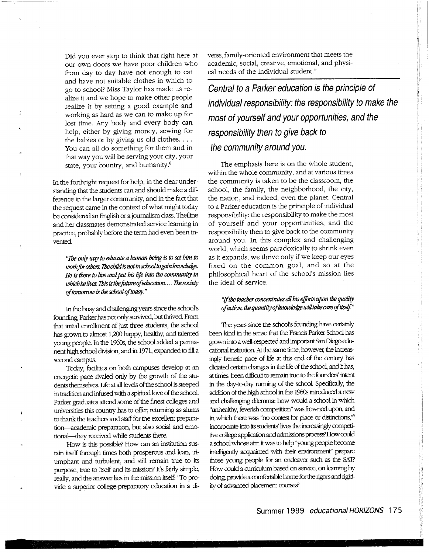Did you ever stop to think that right here at our own doors we have poor children who from day to day have not enough to eat and have not suitable clothes in which to go to school? Miss Taylor has made us realize it and we hope to make other people realize it by setting a good example and working as hard as we can to make up for lost time. Any body and every body can help, either by giving money, sewing for the babies or by giving us old clothes. . . . You can all do something for them and in that way you will be serving your city, your state, your country, and humanity.<sup>8</sup>

In the forthright request for help, in the clear understanding that the students can and should make a difference in the larger community, and in the fact that the request came in the context of what might today be considered an English or a journalism class, Theiline and her classmates demonstrated service learning in practice, probably before the term had even been invented.

*"The* only wcry *to* educate *a* human *being is to set him to work Jar others. The* child *isnotinschoolto gain knowledge. He is there to live* and *put his life into the community in which he liws.* This *is the .future of* education. ... *The* society *of* tomorrow *is the school* of *today."* 

In the busy and challenging years since the school's founding, Parker has not only survived, but thrived From that initial enrollment of just three students, the school has grown to almost 1,200 happy, healthy, and talented young people. In the 1960s, the school added a permanent high school division, and in 1971, expanded to fill <sup>a</sup> second campus.

Today, facilities on both campuses develop at an energetic pace rivaled only by the growth of the students themselves. Life at all levels of the school is steeped in tradition and infused with a spirited love of the school. Parker graduates attend some of the finest colleges and universities this country has to offer, returning as alums to thank the teachers and staff for the excellent preparation--academic preparation, but also social and emotional-they received while students there.

How is this possible? How can an institution sustain itself through times both prosperous and lean, triumphant and turbulent, and still remain true to its purpose, true to itself and its mission? It's fairly simple, really, and the answer lies in the mission itself: "To provide a superior college-preparatory education in a diverse, family-oriented environment that meets the academic, social, creative, emotional, and physical needs of the individual student."

**Central to a Parker education is the principle of individual responsibility: the responsibility to make the most of yourself and your opportunities, and the responsibility then to give back to the community around you.** 

The emphasis here is on the whole student, within the whole community, and at various times the community is taken to be the classroom, the school, the family, the neighborhood, the city, the nation, and indeed, even the planet. Central to a Parker education is the principle of individual responsibility: the responsibility to make the most of yourself and your opportunities, and the responsibility then to give back to the community around you. In this complex and challenging world, which seems paradoxically to shrink even as it expands, we thrive only if we keep our eyes fixed on the common goal, and so at the <sup>p</sup>hilosophical heart of the school's mission lies the ideal of service.

## *"!!the teacher* conamtrates all *his efforts upon the quality of action, the quantity ojknowledgewiU* UJke *careojitself"*

The years since the school's founding have certainly been kind in the sense that the Francis Parker School has grown into a well-respected and important San Diego educational institution. At the same time, however, the increasingly frenetic pace of life at this end of the century has dictated certain changes in the life of the school, and it has, at times, been difficult to remain true to the founders' intent in the day-to-day running of the school. Specifically, the addition of the high school in the 1960s introduced a new and challenging *dilemma:* how would a school in which "unhealthy, feverish competition" was frowned upon, and in which there was "no contest for place or distinctions,"<sup>9</sup> incorporate into its students' lives the increasingly competitive college application and admissions process? How could a school whose aim it was to help ''young people become intelligently acquainted with their environment'' prepare those young people for an endeavor such as the SA1? How could a cuniculum based on service, on iearning by doing, provide a comfortable home for the rigors and rigidity of advanced placement courses?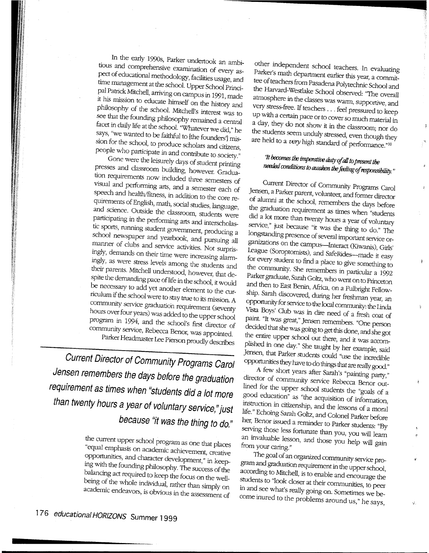In the early 1990s, Parker undertook an ambitious and comprehensive examination of every aspect of educational methodology, facilities usage, and time management at the school. Upper School Principal Patrick Mitchell, arriving on campus in 1991, made it his mission to educate himself on the history and philosophy of the school. Mitchell's interest was to see that the founding philosophy remained a central facet in daily life at the school. "Whatever we did," he says, "we wanted to be faithful to [the founders'] mission for the school, to produce scholars and citizens, people who participate in and contribute to society."

Gone were the leisurely days of student printing presses and classroom building, however. Graduation requirements now included three semesters of visual and performing arts, and a semester each of speech and health/fitness, in addition to the core requirements of English, math, social studies, language, and science. Outside the classroom, students were participating in the performing arts and interscholastic sports, running student government, producing a school newspaper and yearbook, and pursuing all manner of clubs and service activities. Not surprisingly, demands on their time were increasing alarmingly, as were stress levels among the students and their parents. Mitchell understood, however, that despite the demanding pace of life in the school, it would be necessary to add yet another element to the curriculum if the school were to stay true to its mission. A community service graduation requirement (seventy hours over four years) was added to the upper school program in 1994, and the school's first director of community service, Rebecca Benor, was appointed. Parker Headmaster Lee Pierson proudly describes

**Current Director of Community Programs Carol Jensen remembers the days before the graduation requirement as times when "students did a lot more than twenty hours a year of voluntary service," just because "it was the thing to do."** 

> the current upper school program as one that places "equal emphasis on academic achievement, creative opportunities, and character development," in keeping with the founding philosophy. The success of the balancing act required to keep the focus on the wellbeing of the whole individual, rather than simply on academic endeavors, is obvious in the assessment of

other independent school teachers. In evaluating Parker's math department earlier this year, a committee of teachers from Pasadena Polytechnic School and the Harvard-Westlake School observed: "The overall atmosphere in the classes was warm, supportive, and very stress-free. If teachers ... feel pressured to keep up with a certain pace or to cover so much material in a day, they do not show it in the classroom; nor do the students seem unduly stressed, even though they are held to a very high standard of performance."<sup>10</sup>

------------------~

## 'Jt *becomes the irnperatioo duty of* aU *to* present *the needed conditimzs* w *awaken the feeling of responsibility."*

Current Director of Community Programs Carol Jensen, a Parker parent, volunteer, and former director of alumni at the school, remembers the days before the graduation requirement as times when "students did a lot more than twenty hours a year of voluntary service," just because "it was the thing to do." The longstanding presence of several important service organizations on the campus—Interact (Kiwanis), Girls' League (Soroptomists), and SafeRides--made it easy for every student to fmd a place to give something to the community. She remembers in particular a 1992 Parker graduate, Sarall Goltz, who went on to Princeton and then to East Benin, Africa, on a Fulbright Fellowship. Sarah discovered, during her freshman year, an opportunity for service to the local community: the Linda Vista Boys' Club was in dire need of a fresh coat of paint "It was great," Jensen remembers. "One person decided that she was going to get this done, and she got the entire upper school out there, and it was accomplished in one day." She taught by her example, said Jensen, that Parker students could "use the incredible opportunities they have to do things that are really good."

A few short years after Sarah's "painting party," director of community service Rebecca Benor outlined for the upper school students the "goals of <sup>a</sup> good education" as "the acquisition of information, instruction in citizenship, and the lessons of a moral life." Echoing Sarah Goltz, and Colonel Parker before her, Benor issued a reminder to Parker students: "By serving those less fortunate than you, you will learn an invaluable lesson, and those you help will gain from your caring."

The goal of an organized community service program and graduation requirement in the upper school, according to Mitchell, is to enable and encourage the students to "look closer at their communities, to peer in and see what's really going on. Sometimes we become inured to the problems around us," he says,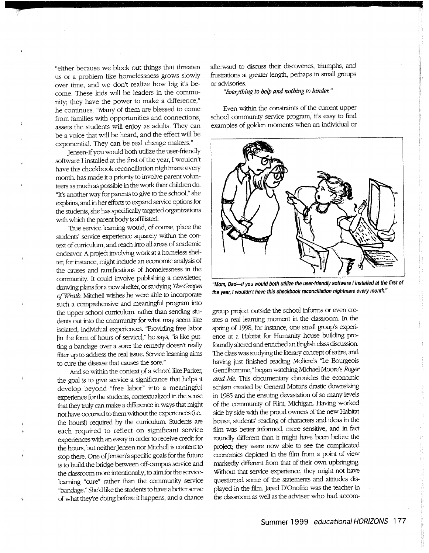"either because we block out things that threaten us or a problem like homelessness grows slowly over time, and we don't realize how big it's become. These kids will be leaders in the community; they have the power to make a difference," he continues. "Many of them are blessed to come from families with opportunities and connections, assets the students will enjoy as adults. They can be a voice that will be heard, and the effect will be exponential. They can be real change makers."

Jensen-If you would both utilize the user-friendly software I installed at the first of the year, I wouldn't have this checkbook reconciliation nightmare every month. has made it a priority to involve parent volunteers as much as possible in the work their children do. "It's another way for parents to give to the school," she explains, and in her efforts to expand service options for the students, she has specifically targeted organizations with which the parent body is affiliated.

True service learning would, of course, place the students' service experience squarely within the context of curriculum, and reach into all areas of academic endeavor. A project involving work at a homeless shelter, for instance, might include an economic analysis of the causes and ramifications of homelessness in the community. It could involve publishing a newsletter, drawing plans for a new shelter, or studying The *Grapes ofWrath.* Mitchell wishes he were able to incorporate such a comprehensive and meaningful program into the upper school curriculum, rather than sending students out into the community for what may seem like isolated, individual experiences. "Providing free labor [in the form of hours of service)," he says, "is like putting a bandage over a sore: the remedy doesn't really fllter up to address the real issue. Service learning aims to cure the disease that causes the sore."

And so within the context of a school like Parker, the goal is to give service a significance that helps it develop beyond "free labor" into a meaningful experience for the students, contextualized in the sense that they truly can make a difference in ways that might not have occurred to them without the experiences (i.e., the hours!) required by the curriculum. Students are each required to reflect on significant service experiences with an essay in order to receive credit for the hours, but neither Jensen nor Mitchell is content to stop there. One of Jensen's specific goals for the future is to build the bridge between off-campus service and the classroom more intentionally, to aim for the servicelearning "cure" rather than the community service "bandage." She'd like the students to have a better sense of what they're doing before it happens, and a chance afterward to discuss their discoveries, triumphs, and frustrations at greater length, perhaps in small groups or advisories.

*"Everything to help and nothing to hinder."* 

Even within the constraints of the current upper school community service program, it's easy to find examples of golden moments when an individual or



**"Mom, Dad-if you would both utilize the user-friendly software I installed at the first of the year, I wouldn't have this checkbook reconciliation nightmare every month."** 

group project outside the school informs or even creates a real learning moment in the classroom. In the spring of 1998, for instance, one small group's experience at a Habitat for Humanity house building profoundly altered and enriched an English class discussion. The class was studying the literary concept of satire, and having just finished reading Moliere's "Le Bourgeois Gentilhomme," began watching Michael Moore's *Roger and Me.* This documentary chronicles the economic schism created by General Motor's drastic downsizing in 1985 and the ensuing devastation of so many levels of the community of Flint, Michigan. Having worked side by side with the proud owners of the new Habitat house, students' reading of characters and ideas in the fllm was better informed, more sensitive, and in fact roundly different than it might have been before the project; they were now able to see the complicated economics depicted in the film from a point of view markedly different from that of their own. upbringing. Without that service experience, they might not have questioned some of the statements and attitudes dis<sup>p</sup>layed in the fllm. Jared D'Onofrio was the teacher in the classroom as well as the adviser who had accom-